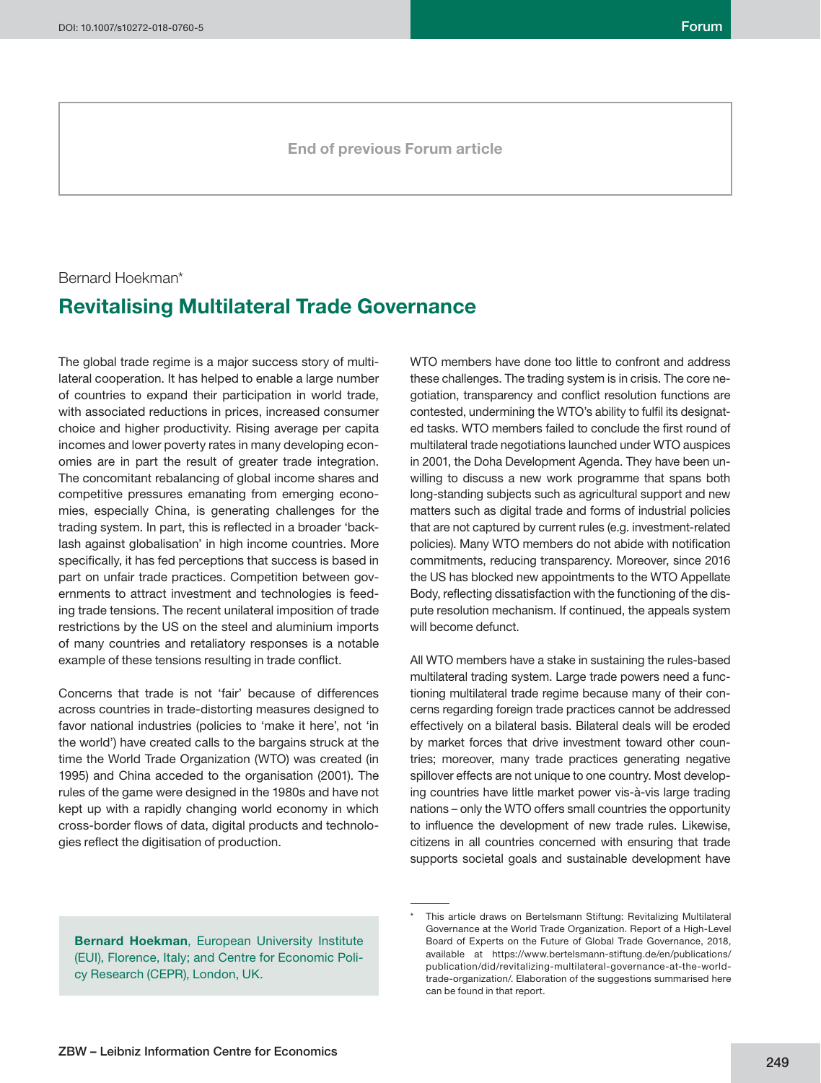# **End of previous Forum article**

# Bernard Hoekman\*

# **Revitalising Multilateral Trade Governance**

The global trade regime is a major success story of multilateral cooperation. It has helped to enable a large number of countries to expand their participation in world trade, with associated reductions in prices, increased consumer choice and higher productivity. Rising average per capita incomes and lower poverty rates in many developing economies are in part the result of greater trade integration. The concomitant rebalancing of global income shares and competitive pressures emanating from emerging economies, especially China, is generating challenges for the trading system. In part, this is reflected in a broader 'backlash against globalisation' in high income countries. More specifically, it has fed perceptions that success is based in part on unfair trade practices. Competition between governments to attract investment and technologies is feeding trade tensions. The recent unilateral imposition of trade restrictions by the US on the steel and aluminium imports of many countries and retaliatory responses is a notable example of these tensions resulting in trade conflict.

Concerns that trade is not 'fair' because of differences across countries in trade-distorting measures designed to favor national industries (policies to 'make it here', not 'in the world') have created calls to the bargains struck at the time the World Trade Organization (WTO) was created (in 1995) and China acceded to the organisation (2001). The rules of the game were designed in the 1980s and have not kept up with a rapidly changing world economy in which cross-border flows of data, digital products and technologies reflect the digitisation of production.

WTO members have done too little to confront and address these challenges. The trading system is in crisis. The core negotiation, transparency and conflict resolution functions are contested, undermining the WTO's ability to fulfil its designated tasks. WTO members failed to conclude the first round of multilateral trade negotiations launched under WTO auspices in 2001, the Doha Development Agenda. They have been unwilling to discuss a new work programme that spans both long-standing subjects such as agricultural support and new matters such as digital trade and forms of industrial policies that are not captured by current rules (e.g. investment-related policies). Many WTO members do not abide with notification commitments, reducing transparency. Moreover, since 2016 the US has blocked new appointments to the WTO Appellate Body, reflecting dissatisfaction with the functioning of the dispute resolution mechanism. If continued, the appeals system will become defunct.

All WTO members have a stake in sustaining the rules-based multilateral trading system. Large trade powers need a functioning multilateral trade regime because many of their concerns regarding foreign trade practices cannot be addressed effectively on a bilateral basis. Bilateral deals will be eroded by market forces that drive investment toward other countries; moreover, many trade practices generating negative spillover effects are not unique to one country. Most developing countries have little market power vis-à-vis large trading nations – only the WTO offers small countries the opportunity to influence the development of new trade rules. Likewise, citizens in all countries concerned with ensuring that trade supports societal goals and sustainable development have

**Bernard Hoekman**, European University Institute (EUI), Florence, Italy; and Centre for Economic Policy Research (CEPR), London, UK.

This article draws on Bertelsmann Stiftung: Revitalizing Multilateral Governance at the World Trade Organization. Report of a High-Level Board of Experts on the Future of Global Trade Governance, 2018, available at https://www.bertelsmann-stiftung.de/en/publications/ publication/did/revitalizing-multilateral-governance-at-the-worldtrade-organization/. Elaboration of the suggestions summarised here can be found in that report.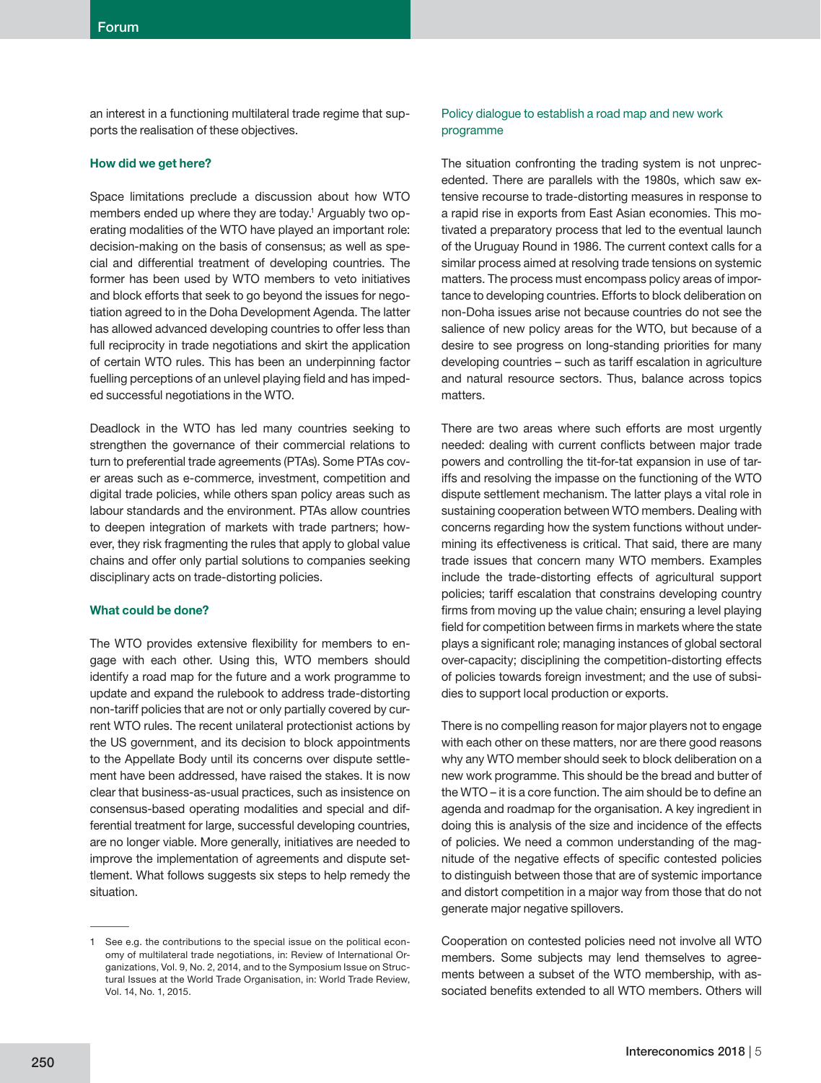an interest in a functioning multilateral trade regime that supports the realisation of these objectives.

#### **How did we get here?**

Space limitations preclude a discussion about how WTO members ended up where they are today.<sup>1</sup> Arguably two operating modalities of the WTO have played an important role: decision-making on the basis of consensus; as well as special and differential treatment of developing countries. The former has been used by WTO members to veto initiatives and block efforts that seek to go beyond the issues for negotiation agreed to in the Doha Development Agenda. The latter has allowed advanced developing countries to offer less than full reciprocity in trade negotiations and skirt the application of certain WTO rules. This has been an underpinning factor fuelling perceptions of an unlevel playing field and has impeded successful negotiations in the WTO.

Deadlock in the WTO has led many countries seeking to strengthen the governance of their commercial relations to turn to preferential trade agreements (PTAs). Some PTAs cover areas such as e-commerce, investment, competition and digital trade policies, while others span policy areas such as labour standards and the environment. PTAs allow countries to deepen integration of markets with trade partners; however, they risk fragmenting the rules that apply to global value chains and offer only partial solutions to companies seeking disciplinary acts on trade-distorting policies.

#### **What could be done?**

The WTO provides extensive flexibility for members to engage with each other. Using this, WTO members should identify a road map for the future and a work programme to update and expand the rulebook to address trade-distorting non-tariff policies that are not or only partially covered by current WTO rules. The recent unilateral protectionist actions by the US government, and its decision to block appointments to the Appellate Body until its concerns over dispute settlement have been addressed, have raised the stakes. It is now clear that business-as-usual practices, such as insistence on consensus-based operating modalities and special and differential treatment for large, successful developing countries, are no longer viable. More generally, initiatives are needed to improve the implementation of agreements and dispute settlement. What follows suggests six steps to help remedy the situation.

## Policy dialogue to establish a road map and new work programme

The situation confronting the trading system is not unprecedented. There are parallels with the 1980s, which saw extensive recourse to trade-distorting measures in response to a rapid rise in exports from East Asian economies. This motivated a preparatory process that led to the eventual launch of the Uruguay Round in 1986. The current context calls for a similar process aimed at resolving trade tensions on systemic matters. The process must encompass policy areas of importance to developing countries. Efforts to block deliberation on non-Doha issues arise not because countries do not see the salience of new policy areas for the WTO, but because of a desire to see progress on long-standing priorities for many developing countries – such as tariff escalation in agriculture and natural resource sectors. Thus, balance across topics matters.

There are two areas where such efforts are most urgently needed: dealing with current conflicts between major trade powers and controlling the tit-for-tat expansion in use of tariffs and resolving the impasse on the functioning of the WTO dispute settlement mechanism. The latter plays a vital role in sustaining cooperation between WTO members. Dealing with concerns regarding how the system functions without undermining its effectiveness is critical. That said, there are many trade issues that concern many WTO members. Examples include the trade-distorting effects of agricultural support policies; tariff escalation that constrains developing country firms from moving up the value chain; ensuring a level playing field for competition between firms in markets where the state plays a significant role; managing instances of global sectoral over-capacity; disciplining the competition-distorting effects of policies towards foreign investment; and the use of subsidies to support local production or exports.

There is no compelling reason for major players not to engage with each other on these matters, nor are there good reasons why any WTO member should seek to block deliberation on a new work programme. This should be the bread and butter of the WTO – it is a core function. The aim should be to define an agenda and roadmap for the organisation. A key ingredient in doing this is analysis of the size and incidence of the effects of policies. We need a common understanding of the magnitude of the negative effects of specific contested policies to distinguish between those that are of systemic importance and distort competition in a major way from those that do not generate major negative spillovers.

Cooperation on contested policies need not involve all WTO members. Some subjects may lend themselves to agreements between a subset of the WTO membership, with associated benefits extended to all WTO members. Others will

<sup>1</sup> See e.g. the contributions to the special issue on the political economy of multilateral trade negotiations, in: Review of International Organizations, Vol. 9, No. 2, 2014, and to the Symposium Issue on Structural Issues at the World Trade Organisation, in: World Trade Review, Vol. 14, No. 1, 2015.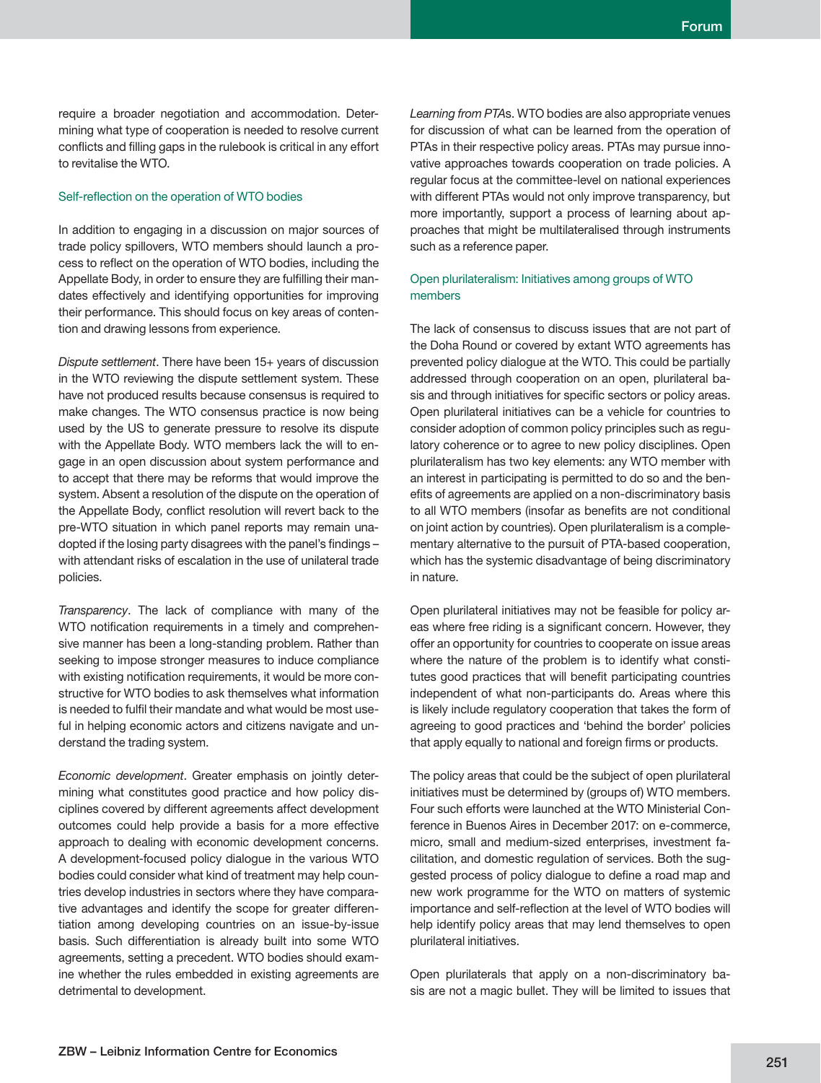require a broader negotiation and accommodation. Determining what type of cooperation is needed to resolve current conflicts and filling gaps in the rulebook is critical in any effort to revitalise the WTO.

#### Self-reflection on the operation of WTO bodies

In addition to engaging in a discussion on major sources of trade policy spillovers, WTO members should launch a process to reflect on the operation of WTO bodies, including the Appellate Body, in order to ensure they are fulfilling their mandates effectively and identifying opportunities for improving their performance. This should focus on key areas of contention and drawing lessons from experience.

*Dispute settlement*. There have been 15+ years of discussion in the WTO reviewing the dispute settlement system. These have not produced results because consensus is required to make changes. The WTO consensus practice is now being used by the US to generate pressure to resolve its dispute with the Appellate Body. WTO members lack the will to engage in an open discussion about system performance and to accept that there may be reforms that would improve the system. Absent a resolution of the dispute on the operation of the Appellate Body, conflict resolution will revert back to the pre-WTO situation in which panel reports may remain unadopted if the losing party disagrees with the panel's findings with attendant risks of escalation in the use of unilateral trade policies.

*Transparency*. The lack of compliance with many of the WTO notification requirements in a timely and comprehensive manner has been a long-standing problem. Rather than seeking to impose stronger measures to induce compliance with existing notification requirements, it would be more constructive for WTO bodies to ask themselves what information is needed to fulfil their mandate and what would be most useful in helping economic actors and citizens navigate and understand the trading system.

*Economic development*. Greater emphasis on jointly determining what constitutes good practice and how policy disciplines covered by different agreements affect development outcomes could help provide a basis for a more effective approach to dealing with economic development concerns. A development-focused policy dialogue in the various WTO bodies could consider what kind of treatment may help countries develop industries in sectors where they have comparative advantages and identify the scope for greater differentiation among developing countries on an issue-by-issue basis. Such differentiation is already built into some WTO agreements, setting a precedent. WTO bodies should examine whether the rules embedded in existing agreements are detrimental to development.

*Learning from PTA*s. WTO bodies are also appropriate venues for discussion of what can be learned from the operation of PTAs in their respective policy areas. PTAs may pursue innovative approaches towards cooperation on trade policies. A regular focus at the committee-level on national experiences with different PTAs would not only improve transparency, but more importantly, support a process of learning about approaches that might be multilateralised through instruments such as a reference paper.

# Open plurilateralism: Initiatives among groups of WTO members

The lack of consensus to discuss issues that are not part of the Doha Round or covered by extant WTO agreements has prevented policy dialogue at the WTO. This could be partially addressed through cooperation on an open, plurilateral basis and through initiatives for specific sectors or policy areas. Open plurilateral initiatives can be a vehicle for countries to consider adoption of common policy principles such as regulatory coherence or to agree to new policy disciplines. Open plurilateralism has two key elements: any WTO member with an interest in participating is permitted to do so and the benefits of agreements are applied on a non-discriminatory basis to all WTO members (insofar as benefits are not conditional on joint action by countries). Open plurilateralism is a complementary alternative to the pursuit of PTA-based cooperation, which has the systemic disadvantage of being discriminatory in nature.

Open plurilateral initiatives may not be feasible for policy areas where free riding is a significant concern. However, they offer an opportunity for countries to cooperate on issue areas where the nature of the problem is to identify what constitutes good practices that will benefit participating countries independent of what non-participants do. Areas where this is likely include regulatory cooperation that takes the form of agreeing to good practices and 'behind the border' policies that apply equally to national and foreign firms or products.

The policy areas that could be the subject of open plurilateral initiatives must be determined by (groups of) WTO members. Four such efforts were launched at the WTO Ministerial Conference in Buenos Aires in December 2017: on e-commerce, micro, small and medium-sized enterprises, investment facilitation, and domestic regulation of services. Both the suggested process of policy dialogue to define a road map and new work programme for the WTO on matters of systemic importance and self-reflection at the level of WTO bodies will help identify policy areas that may lend themselves to open plurilateral initiatives.

Open plurilaterals that apply on a non-discriminatory basis are not a magic bullet. They will be limited to issues that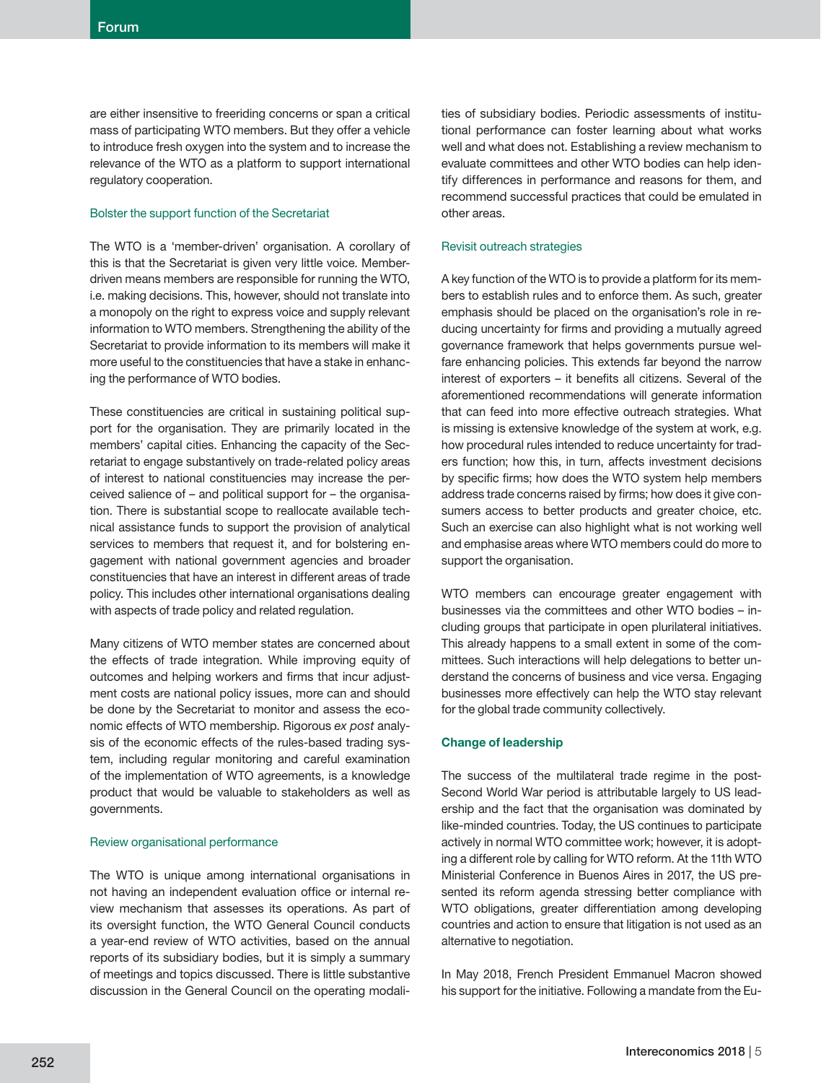are either insensitive to freeriding concerns or span a critical mass of participating WTO members. But they offer a vehicle to introduce fresh oxygen into the system and to increase the relevance of the WTO as a platform to support international regulatory cooperation.

### Bolster the support function of the Secretariat

The WTO is a 'member-driven' organisation. A corollary of this is that the Secretariat is given very little voice. Memberdriven means members are responsible for running the WTO, i.e. making decisions. This, however, should not translate into a monopoly on the right to express voice and supply relevant information to WTO members. Strengthening the ability of the Secretariat to provide information to its members will make it more useful to the constituencies that have a stake in enhancing the performance of WTO bodies.

These constituencies are critical in sustaining political support for the organisation. They are primarily located in the members' capital cities. Enhancing the capacity of the Secretariat to engage substantively on trade-related policy areas of interest to national constituencies may increase the perceived salience of – and political support for – the organisation. There is substantial scope to reallocate available technical assistance funds to support the provision of analytical services to members that request it, and for bolstering engagement with national government agencies and broader constituencies that have an interest in different areas of trade policy. This includes other international organisations dealing with aspects of trade policy and related regulation.

Many citizens of WTO member states are concerned about the effects of trade integration. While improving equity of outcomes and helping workers and firms that incur adjustment costs are national policy issues, more can and should be done by the Secretariat to monitor and assess the economic effects of WTO membership. Rigorous *ex post* analysis of the economic effects of the rules-based trading system, including regular monitoring and careful examination of the implementation of WTO agreements, is a knowledge product that would be valuable to stakeholders as well as governments.

#### Review organisational performance

The WTO is unique among international organisations in not having an independent evaluation office or internal review mechanism that assesses its operations. As part of its oversight function, the WTO General Council conducts a year-end review of WTO activities, based on the annual reports of its subsidiary bodies, but it is simply a summary of meetings and topics discussed. There is little substantive discussion in the General Council on the operating modalities of subsidiary bodies. Periodic assessments of institutional performance can foster learning about what works well and what does not. Establishing a review mechanism to evaluate committees and other WTO bodies can help identify differences in performance and reasons for them, and recommend successful practices that could be emulated in other areas.

#### Revisit outreach strategies

A key function of the WTO is to provide a platform for its members to establish rules and to enforce them. As such, greater emphasis should be placed on the organisation's role in reducing uncertainty for firms and providing a mutually agreed governance framework that helps governments pursue welfare enhancing policies. This extends far beyond the narrow interest of exporters  $-$  it benefits all citizens. Several of the aforementioned recommendations will generate information that can feed into more effective outreach strategies. What is missing is extensive knowledge of the system at work, e.g. how procedural rules intended to reduce uncertainty for traders function; how this, in turn, affects investment decisions by specific firms; how does the WTO system help members address trade concerns raised by firms; how does it give consumers access to better products and greater choice, etc. Such an exercise can also highlight what is not working well and emphasise areas where WTO members could do more to support the organisation.

WTO members can encourage greater engagement with businesses via the committees and other WTO bodies – including groups that participate in open plurilateral initiatives. This already happens to a small extent in some of the committees. Such interactions will help delegations to better understand the concerns of business and vice versa. Engaging businesses more effectively can help the WTO stay relevant for the global trade community collectively.

## **Change of leadership**

The success of the multilateral trade regime in the post-Second World War period is attributable largely to US leadership and the fact that the organisation was dominated by like-minded countries. Today, the US continues to participate actively in normal WTO committee work; however, it is adopting a different role by calling for WTO reform. At the 11th WTO Ministerial Conference in Buenos Aires in 2017, the US presented its reform agenda stressing better compliance with WTO obligations, greater differentiation among developing countries and action to ensure that litigation is not used as an alternative to negotiation.

In May 2018, French President Emmanuel Macron showed his support for the initiative. Following a mandate from the Eu-